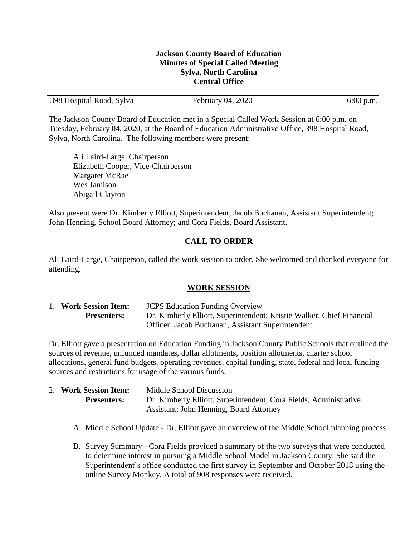#### **Jackson County Board of Education Minutes of Special Called Meeting Sylva, North Carolina Central Office**

| 398 Hospital Road, Sylva | February 04, 2020 | $6:00$ p.m. |
|--------------------------|-------------------|-------------|
|                          |                   |             |

The Jackson County Board of Education met in a Special Called Work Session at 6:00 p.m. on Tuesday, February 04, 2020, at the Board of Education Administrative Office, 398 Hospital Road, Sylva, North Carolina. The following members were present:

Ali Laird-Large, Chairperson Elizabeth Cooper, Vice-Chairperson Margaret McRae Wes Jamison Abigail Clayton

Also present were Dr. Kimberly Elliott, Superintendent; Jacob Buchanan, Assistant Superintendent; John Henning, School Board Attorney; and Cora Fields, Board Assistant.

# **CALL TO ORDER**

Ali Laird-Large, Chairperson, called the work session to order. She welcomed and thanked everyone for attending.

#### **WORK SESSION**

| 1. Work Session Item: | <b>JCPS</b> Education Funding Overview                                |
|-----------------------|-----------------------------------------------------------------------|
| <b>Presenters:</b>    | Dr. Kimberly Elliott, Superintendent; Kristie Walker, Chief Financial |
|                       | Officer; Jacob Buchanan, Assistant Superintendent                     |

Dr. Elliott gave a presentation on Education Funding in Jackson County Public Schools that outlined the sources of revenue, unfunded mandates, dollar allotments, position allotments, charter school allocations, general fund budgets, operating revenues, capital funding, state, federal and local funding sources and restrictions for usage of the various funds.

| 2. Work Session Item: | Middle School Discussion                                          |
|-----------------------|-------------------------------------------------------------------|
| <b>Presenters:</b>    | Dr. Kimberly Elliott, Superintendent; Cora Fields, Administrative |
|                       | <b>Assistant</b> ; John Henning, Board Attorney                   |

- A. Middle School Update Dr. Elliott gave an overview of the Middle School planning process.
- B. Survey Summary Cora Fields provided a summary of the two surveys that were conducted to determine interest in pursuing a Middle School Model in Jackson County. She said the Superintendent's office conducted the first survey in September and October 2018 using the online Survey Monkey. A total of 908 responses were received.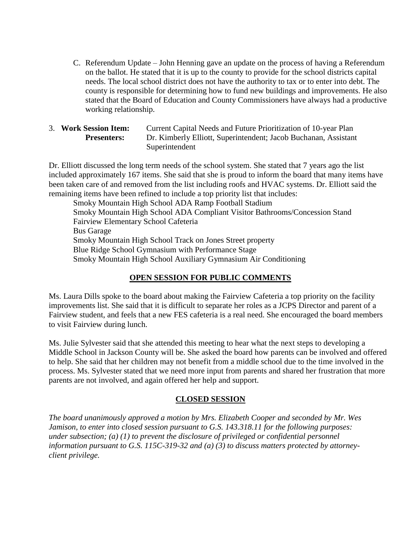- C. Referendum Update John Henning gave an update on the process of having a Referendum on the ballot. He stated that it is up to the county to provide for the school districts capital needs. The local school district does not have the authority to tax or to enter into debt. The county is responsible for determining how to fund new buildings and improvements. He also stated that the Board of Education and County Commissioners have always had a productive working relationship.
- 3. **Work Session Item:** Current Capital Needs and Future Prioritization of 10-year Plan **Presenters:** Dr. Kimberly Elliott, Superintendent; Jacob Buchanan, Assistant Superintendent

Dr. Elliott discussed the long term needs of the school system. She stated that 7 years ago the list included approximately 167 items. She said that she is proud to inform the board that many items have been taken care of and removed from the list including roofs and HVAC systems. Dr. Elliott said the remaining items have been refined to include a top priority list that includes:

Smoky Mountain High School ADA Ramp Football Stadium Smoky Mountain High School ADA Compliant Visitor Bathrooms/Concession Stand Fairview Elementary School Cafeteria Bus Garage Smoky Mountain High School Track on Jones Street property Blue Ridge School Gymnasium with Performance Stage Smoky Mountain High School Auxiliary Gymnasium Air Conditioning

### **OPEN SESSION FOR PUBLIC COMMENTS**

Ms. Laura Dills spoke to the board about making the Fairview Cafeteria a top priority on the facility improvements list. She said that it is difficult to separate her roles as a JCPS Director and parent of a Fairview student, and feels that a new FES cafeteria is a real need. She encouraged the board members to visit Fairview during lunch.

Ms. Julie Sylvester said that she attended this meeting to hear what the next steps to developing a Middle School in Jackson County will be. She asked the board how parents can be involved and offered to help. She said that her children may not benefit from a middle school due to the time involved in the process. Ms. Sylvester stated that we need more input from parents and shared her frustration that more parents are not involved, and again offered her help and support.

### **CLOSED SESSION**

*The board unanimously approved a motion by Mrs. Elizabeth Cooper and seconded by Mr. Wes Jamison, to enter into closed session pursuant to G.S. 143.318.11 for the following purposes: under subsection; (a) (1) to prevent the disclosure of privileged or confidential personnel information pursuant to G.S. 115C-319-32 and (a) (3) to discuss matters protected by attorneyclient privilege.*